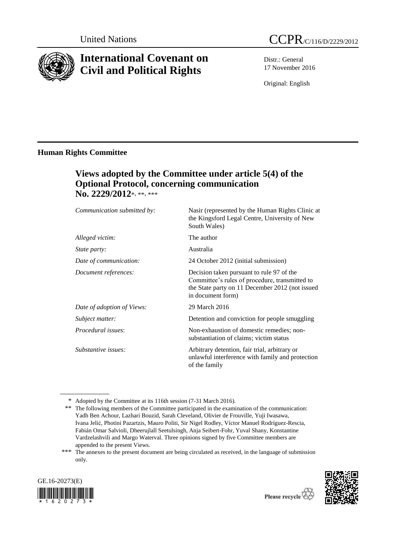

# **International Covenant on Civil and Political Rights**

Distr.: General 17 November 2016

Original: English

the Kingsford Legal Centre, University of New

### **Human Rights Committee**

# **Views adopted by the Committee under article 5(4) of the Optional Protocol, concerning communication No. 2229/2012**\*, \*\*, \*\*\*

*Communication submitted by:* Nasir (represented by the Human Rights Clinic at

|                            | South Wales)                                                                                                                                                        |
|----------------------------|---------------------------------------------------------------------------------------------------------------------------------------------------------------------|
| Alleged victim:            | The author                                                                                                                                                          |
| <i>State party:</i>        | Australia                                                                                                                                                           |
| Date of communication:     | 24 October 2012 (initial submission)                                                                                                                                |
| Document references:       | Decision taken pursuant to rule 97 of the<br>Committee's rules of procedure, transmitted to<br>the State party on 11 December 2012 (not issued<br>in document form) |
| Date of adoption of Views: | 29 March 2016                                                                                                                                                       |
| Subject matter:            | Detention and conviction for people smuggling                                                                                                                       |
| Procedural issues:         | Non-exhaustion of domestic remedies; non-<br>substantiation of claims; victim status                                                                                |
| Substantive issues:        | Arbitrary detention, fair trial, arbitrary or<br>unlawful interference with family and protection<br>of the family                                                  |

<sup>\*</sup> Adopted by the Committee at its 116th session (7-31 March 2016).

<sup>\*\*\*</sup> The annexes to the present document are being circulated as received, in the language of submission only.





<sup>\*\*</sup> The following members of the Committee participated in the examination of the communication: Yadh Ben Achour, Lazhari Bouzid, Sarah Cleveland, Olivier de Frouville, Yuji Iwasawa, Ivana Jelić, Photini Pazartzis, Mauro Politi, Sir Nigel Rodley, Víctor Manuel Rodríguez-Rescia, Fabián Omar Salvioli, Dheerujlall Seetulsingh, Anja Seibert-Fohr, Yuval Shany, Konstantine Vardzelashvili and Margo Waterval. Three opinions signed by five Committee members are appended to the present Views.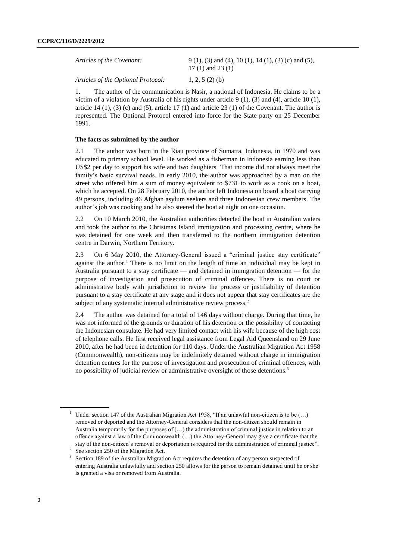| Articles of the Covenant:          | $9(1)$ , (3) and (4), 10 (1), 14 (1), (3) (c) and (5),<br>17 (1) and 23 (1) |
|------------------------------------|-----------------------------------------------------------------------------|
| Articles of the Optional Protocol: | 1, 2, 5 $(2)$ (b)                                                           |

1. The author of the communication is Nasir, a national of Indonesia. He claims to be a victim of a violation by Australia of his rights under article 9 (1), (3) and (4), article 10 (1), article 14  $(1)$ ,  $(3)$   $(c)$  and  $(5)$ , article 17  $(1)$  and article 23  $(1)$  of the Covenant. The author is represented. The Optional Protocol entered into force for the State party on 25 December 1991.

#### **The facts as submitted by the author**

2.1 The author was born in the Riau province of Sumatra, Indonesia, in 1970 and was educated to primary school level. He worked as a fisherman in Indonesia earning less than US\$2 per day to support his wife and two daughters. That income did not always meet the family's basic survival needs. In early 2010, the author was approached by a man on the street who offered him a sum of money equivalent to \$731 to work as a cook on a boat, which he accepted. On 28 February 2010, the author left Indonesia on board a boat carrying 49 persons, including 46 Afghan asylum seekers and three Indonesian crew members. The author's job was cooking and he also steered the boat at night on one occasion.

2.2 On 10 March 2010, the Australian authorities detected the boat in Australian waters and took the author to the Christmas Island immigration and processing centre, where he was detained for one week and then transferred to the northern immigration detention centre in Darwin, Northern Territory.

2.3 On 6 May 2010, the Attorney-General issued a "criminal justice stay certificate" against the author.<sup>1</sup> There is no limit on the length of time an individual may be kept in Australia pursuant to a stay certificate — and detained in immigration detention — for the purpose of investigation and prosecution of criminal offences. There is no court or administrative body with jurisdiction to review the process or justifiability of detention pursuant to a stay certificate at any stage and it does not appear that stay certificates are the subject of any systematic internal administrative review process.<sup>2</sup>

2.4 The author was detained for a total of 146 days without charge. During that time, he was not informed of the grounds or duration of his detention or the possibility of contacting the Indonesian consulate. He had very limited contact with his wife because of the high cost of telephone calls. He first received legal assistance from Legal Aid Queensland on 29 June 2010, after he had been in detention for 110 days. Under the Australian Migration Act 1958 (Commonwealth), non-citizens may be indefinitely detained without charge in immigration detention centres for the purpose of investigation and prosecution of criminal offences, with no possibility of judicial review or administrative oversight of those detentions.<sup>3</sup>

<sup>&</sup>lt;sup>1</sup> Under section 147 of the Australian Migration Act 1958, "If an unlawful non-citizen is to be  $(...)$ removed or deported and the Attorney-General considers that the non-citizen should remain in Australia temporarily for the purposes of  $(...)$  the administration of criminal justice in relation to an offence against a law of the Commonwealth (…) the Attorney-General may give a certificate that the stay of the non-citizen's removal or deportation is required for the administration of criminal justice".

<sup>2</sup> See section 250 of the Migration Act.

<sup>3</sup> Section 189 of the Australian Migration Act requires the detention of any person suspected of entering Australia unlawfully and section 250 allows for the person to remain detained until he or she is granted a visa or removed from Australia.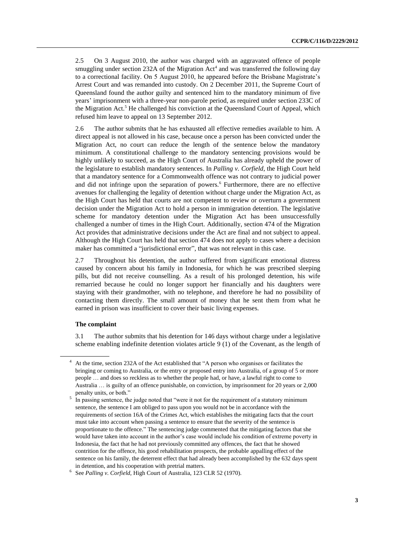2.5 On 3 August 2010, the author was charged with an aggravated offence of people smuggling under section  $232A$  of the Migration  $Act<sup>4</sup>$  and was transferred the following day to a correctional facility. On 5 August 2010, he appeared before the Brisbane Magistrate's Arrest Court and was remanded into custody. On 2 December 2011, the Supreme Court of Queensland found the author guilty and sentenced him to the mandatory minimum of five years' imprisonment with a three-year non-parole period, as required under section 233C of the Migration Act.<sup>5</sup> He challenged his conviction at the Queensland Court of Appeal, which refused him leave to appeal on 13 September 2012.

2.6 The author submits that he has exhausted all effective remedies available to him. A direct appeal is not allowed in his case, because once a person has been convicted under the Migration Act, no court can reduce the length of the sentence below the mandatory minimum. A constitutional challenge to the mandatory sentencing provisions would be highly unlikely to succeed, as the High Court of Australia has already upheld the power of the legislature to establish mandatory sentences. In *Palling v. Corfield*, the High Court held that a mandatory sentence for a Commonwealth offence was not contrary to judicial power and did not infringe upon the separation of powers.<sup>6</sup> Furthermore, there are no effective avenues for challenging the legality of detention without charge under the Migration Act, as the High Court has held that courts are not competent to review or overturn a government decision under the Migration Act to hold a person in immigration detention. The legislative scheme for mandatory detention under the Migration Act has been unsuccessfully challenged a number of times in the High Court. Additionally, section 474 of the Migration Act provides that administrative decisions under the Act are final and not subject to appeal. Although the High Court has held that section 474 does not apply to cases where a decision maker has committed a "jurisdictional error", that was not relevant in this case.

2.7 Throughout his detention, the author suffered from significant emotional distress caused by concern about his family in Indonesia, for which he was prescribed sleeping pills, but did not receive counselling. As a result of his prolonged detention, his wife remarried because he could no longer support her financially and his daughters were staying with their grandmother, with no telephone, and therefore he had no possibility of contacting them directly. The small amount of money that he sent them from what he earned in prison was insufficient to cover their basic living expenses.

#### **The complaint**

3.1 The author submits that his detention for 146 days without charge under a legislative scheme enabling indefinite detention violates article 9 (1) of the Covenant, as the length of

<sup>4</sup> At the time, section 232A of the Act established that "A person who organises or facilitates the bringing or coming to Australia, or the entry or proposed entry into Australia, of a group of 5 or more people … and does so reckless as to whether the people had, or have, a lawful right to come to Australia … is guilty of an offence punishable, on conviction, by imprisonment for 20 years or 2,000 penalty units, or both."

<sup>5</sup> In passing sentence, the judge noted that "were it not for the requirement of a statutory minimum sentence, the sentence I am obliged to pass upon you would not be in accordance with the requirements of section 16A of the Crimes Act, which establishes the mitigating facts that the court must take into account when passing a sentence to ensure that the severity of the sentence is proportionate to the offence." The sentencing judge commented that the mitigating factors that she would have taken into account in the author's case would include his condition of extreme poverty in Indonesia, the fact that he had not previously committed any offences, the fact that he showed contrition for the offence, his good rehabilitation prospects, the probable appalling effect of the sentence on his family, the deterrent effect that had already been accomplished by the 632 days spent in detention, and his cooperation with pretrial matters.

<sup>6</sup> See *Palling v. Corfield*, High Court of Australia, 123 CLR 52 (1970).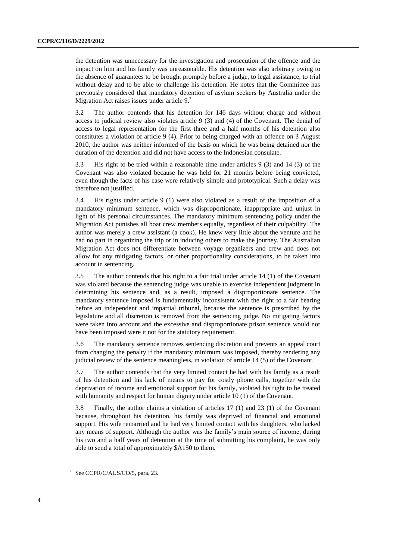the detention was unnecessary for the investigation and prosecution of the offence and the impact on him and his family was unreasonable. His detention was also arbitrary owing to the absence of guarantees to be brought promptly before a judge, to legal assistance, to trial without delay and to be able to challenge his detention. He notes that the Committee has previously considered that mandatory detention of asylum seekers by Australia under the Migration Act raises issues under article 9.<sup>7</sup>

3.2 The author contends that his detention for 146 days without charge and without access to judicial review also violates article 9 (3) and (4) of the Covenant. The denial of access to legal representation for the first three and a half months of his detention also constitutes a violation of article 9 (4). Prior to being charged with an offence on 3 August 2010, the author was neither informed of the basis on which he was being detained nor the duration of the detention and did not have access to the Indonesian consulate.

3.3 His right to be tried within a reasonable time under articles 9 (3) and 14 (3) of the Covenant was also violated because he was held for 21 months before being convicted, even though the facts of his case were relatively simple and prototypical. Such a delay was therefore not justified.

3.4 His rights under article 9 (1) were also violated as a result of the imposition of a mandatory minimum sentence, which was disproportionate, inappropriate and unjust in light of his personal circumstances. The mandatory minimum sentencing policy under the Migration Act punishes all boat crew members equally, regardless of their culpability. The author was merely a crew assistant (a cook). He knew very little about the venture and he had no part in organizing the trip or in inducing others to make the journey. The Australian Migration Act does not differentiate between voyage organizers and crew and does not allow for any mitigating factors, or other proportionality considerations, to be taken into account in sentencing.

3.5 The author contends that his right to a fair trial under article 14 (1) of the Covenant was violated because the sentencing judge was unable to exercise independent judgment in determining his sentence and, as a result, imposed a disproportionate sentence. The mandatory sentence imposed is fundamentally inconsistent with the right to a fair hearing before an independent and impartial tribunal, because the sentence is prescribed by the legislature and all discretion is removed from the sentencing judge. No mitigating factors were taken into account and the excessive and disproportionate prison sentence would not have been imposed were it not for the statutory requirement.

3.6 The mandatory sentence removes sentencing discretion and prevents an appeal court from changing the penalty if the mandatory minimum was imposed, thereby rendering any judicial review of the sentence meaningless, in violation of article 14 (5) of the Covenant.

3.7 The author contends that the very limited contact he had with his family as a result of his detention and his lack of means to pay for costly phone calls, together with the deprivation of income and emotional support for his family, violated his right to be treated with humanity and respect for human dignity under article 10 (1) of the Covenant.

3.8 Finally, the author claims a violation of articles 17 (1) and 23 (1) of the Covenant because, throughout his detention, his family was deprived of financial and emotional support. His wife remarried and he had very limited contact with his daughters, who lacked any means of support. Although the author was the family's main source of income, during his two and a half years of detention at the time of submitting his complaint, he was only able to send a total of approximately \$A150 to them.

 $7$  See CCPR/C/AUS/CO/5, para. 23.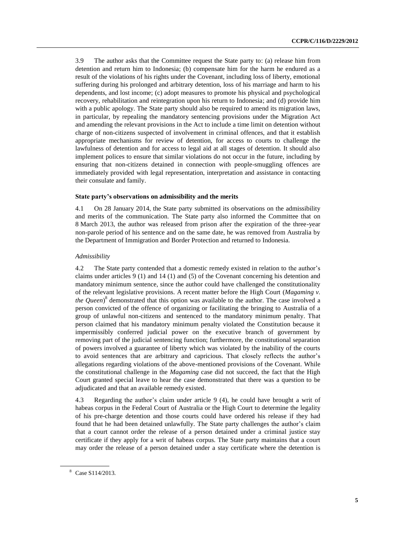3.9 The author asks that the Committee request the State party to: (a) release him from detention and return him to Indonesia; (b) compensate him for the harm he endured as a result of the violations of his rights under the Covenant, including loss of liberty, emotional suffering during his prolonged and arbitrary detention, loss of his marriage and harm to his dependents, and lost income; (c) adopt measures to promote his physical and psychological recovery, rehabilitation and reintegration upon his return to Indonesia; and (d) provide him with a public apology. The State party should also be required to amend its migration laws, in particular, by repealing the mandatory sentencing provisions under the Migration Act and amending the relevant provisions in the Act to include a time limit on detention without charge of non-citizens suspected of involvement in criminal offences, and that it establish appropriate mechanisms for review of detention, for access to courts to challenge the lawfulness of detention and for access to legal aid at all stages of detention. It should also implement polices to ensure that similar violations do not occur in the future, including by ensuring that non-citizens detained in connection with people-smuggling offences are immediately provided with legal representation, interpretation and assistance in contacting their consulate and family.

#### **State party's observations on admissibility and the merits**

4.1 On 28 January 2014, the State party submitted its observations on the admissibility and merits of the communication. The State party also informed the Committee that on 8 March 2013, the author was released from prison after the expiration of the three-year non-parole period of his sentence and on the same date, he was removed from Australia by the Department of Immigration and Border Protection and returned to Indonesia.

#### *Admissibility*

4.2 The State party contended that a domestic remedy existed in relation to the author's claims under articles 9 (1) and 14 (1) and (5) of the Covenant concerning his detention and mandatory minimum sentence, since the author could have challenged the constitutionality of the relevant legislative provisions. A recent matter before the High Court (*Magaming v. the Queen*) 8 demonstrated that this option was available to the author. The case involved a person convicted of the offence of organizing or facilitating the bringing to Australia of a group of unlawful non-citizens and sentenced to the mandatory minimum penalty. That person claimed that his mandatory minimum penalty violated the Constitution because it impermissibly conferred judicial power on the executive branch of government by removing part of the judicial sentencing function; furthermore, the constitutional separation of powers involved a guarantee of liberty which was violated by the inability of the courts to avoid sentences that are arbitrary and capricious. That closely reflects the author's allegations regarding violations of the above-mentioned provisions of the Covenant. While the constitutional challenge in the *Magaming* case did not succeed, the fact that the High Court granted special leave to hear the case demonstrated that there was a question to be adjudicated and that an available remedy existed.

4.3 Regarding the author's claim under article 9 (4), he could have brought a writ of habeas corpus in the Federal Court of Australia or the High Court to determine the legality of his pre-charge detention and those courts could have ordered his release if they had found that he had been detained unlawfully. The State party challenges the author's claim that a court cannot order the release of a person detained under a criminal justice stay certificate if they apply for a writ of habeas corpus. The State party maintains that a court may order the release of a person detained under a stay certificate where the detention is

<sup>8</sup> Case S114/2013.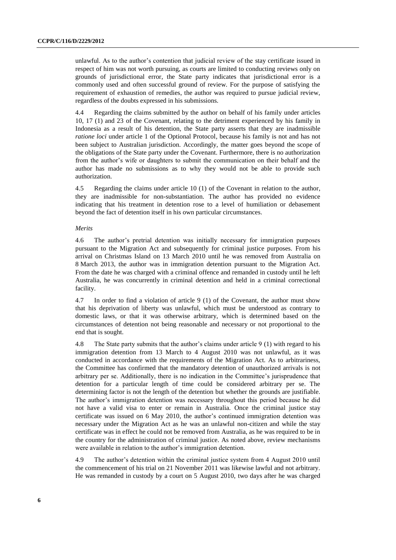unlawful. As to the author's contention that judicial review of the stay certificate issued in respect of him was not worth pursuing, as courts are limited to conducting reviews only on grounds of jurisdictional error, the State party indicates that jurisdictional error is a commonly used and often successful ground of review. For the purpose of satisfying the requirement of exhaustion of remedies, the author was required to pursue judicial review, regardless of the doubts expressed in his submissions.

4.4 Regarding the claims submitted by the author on behalf of his family under articles 10, 17 (1) and 23 of the Covenant, relating to the detriment experienced by his family in Indonesia as a result of his detention, the State party asserts that they are inadmissible *ratione loci* under article 1 of the Optional Protocol, because his family is not and has not been subject to Australian jurisdiction. Accordingly, the matter goes beyond the scope of the obligations of the State party under the Covenant. Furthermore, there is no authorization from the author's wife or daughters to submit the communication on their behalf and the author has made no submissions as to why they would not be able to provide such authorization.

4.5 Regarding the claims under article 10 (1) of the Covenant in relation to the author, they are inadmissible for non-substantiation. The author has provided no evidence indicating that his treatment in detention rose to a level of humiliation or debasement beyond the fact of detention itself in his own particular circumstances.

#### *Merits*

4.6 The author's pretrial detention was initially necessary for immigration purposes pursuant to the Migration Act and subsequently for criminal justice purposes. From his arrival on Christmas Island on 13 March 2010 until he was removed from Australia on 8 March 2013, the author was in immigration detention pursuant to the Migration Act. From the date he was charged with a criminal offence and remanded in custody until he left Australia, he was concurrently in criminal detention and held in a criminal correctional facility.

4.7 In order to find a violation of article 9 (1) of the Covenant, the author must show that his deprivation of liberty was unlawful, which must be understood as contrary to domestic laws, or that it was otherwise arbitrary, which is determined based on the circumstances of detention not being reasonable and necessary or not proportional to the end that is sought.

4.8 The State party submits that the author's claims under article 9 (1) with regard to his immigration detention from 13 March to 4 August 2010 was not unlawful, as it was conducted in accordance with the requirements of the Migration Act. As to arbitrariness, the Committee has confirmed that the mandatory detention of unauthorized arrivals is not arbitrary per se. Additionally, there is no indication in the Committee's jurisprudence that detention for a particular length of time could be considered arbitrary per se. The determining factor is not the length of the detention but whether the grounds are justifiable. The author's immigration detention was necessary throughout this period because he did not have a valid visa to enter or remain in Australia. Once the criminal justice stay certificate was issued on 6 May 2010, the author's continued immigration detention was necessary under the Migration Act as he was an unlawful non-citizen and while the stay certificate was in effect he could not be removed from Australia, as he was required to be in the country for the administration of criminal justice. As noted above, review mechanisms were available in relation to the author's immigration detention.

4.9 The author's detention within the criminal justice system from 4 August 2010 until the commencement of his trial on 21 November 2011 was likewise lawful and not arbitrary. He was remanded in custody by a court on 5 August 2010, two days after he was charged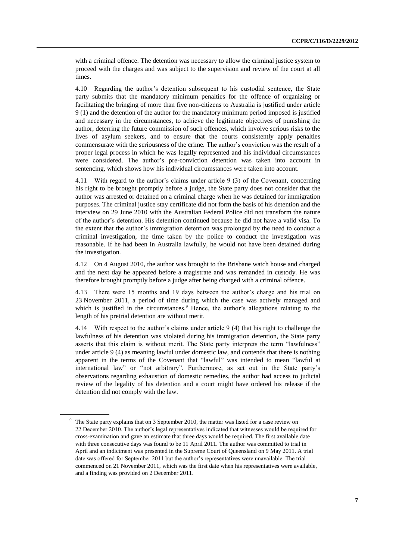with a criminal offence. The detention was necessary to allow the criminal justice system to proceed with the charges and was subject to the supervision and review of the court at all times.

4.10 Regarding the author's detention subsequent to his custodial sentence, the State party submits that the mandatory minimum penalties for the offence of organizing or facilitating the bringing of more than five non-citizens to Australia is justified under article 9 (1) and the detention of the author for the mandatory minimum period imposed is justified and necessary in the circumstances, to achieve the legitimate objectives of punishing the author, deterring the future commission of such offences, which involve serious risks to the lives of asylum seekers, and to ensure that the courts consistently apply penalties commensurate with the seriousness of the crime. The author's conviction was the result of a proper legal process in which he was legally represented and his individual circumstances were considered. The author's pre-conviction detention was taken into account in sentencing, which shows how his individual circumstances were taken into account.

4.11 With regard to the author's claims under article 9 (3) of the Covenant, concerning his right to be brought promptly before a judge, the State party does not consider that the author was arrested or detained on a criminal charge when he was detained for immigration purposes. The criminal justice stay certificate did not form the basis of his detention and the interview on 29 June 2010 with the Australian Federal Police did not transform the nature of the author's detention. His detention continued because he did not have a valid visa. To the extent that the author's immigration detention was prolonged by the need to conduct a criminal investigation, the time taken by the police to conduct the investigation was reasonable. If he had been in Australia lawfully, he would not have been detained during the investigation.

4.12 On 4 August 2010, the author was brought to the Brisbane watch house and charged and the next day he appeared before a magistrate and was remanded in custody. He was therefore brought promptly before a judge after being charged with a criminal offence.

4.13 There were 15 months and 19 days between the author's charge and his trial on 23 November 2011, a period of time during which the case was actively managed and which is justified in the circumstances.<sup>9</sup> Hence, the author's allegations relating to the length of his pretrial detention are without merit.

4.14 With respect to the author's claims under article 9 (4) that his right to challenge the lawfulness of his detention was violated during his immigration detention, the State party asserts that this claim is without merit. The State party interprets the term "lawfulness" under article 9 (4) as meaning lawful under domestic law, and contends that there is nothing apparent in the terms of the Covenant that "lawful" was intended to mean "lawful at international law" or "not arbitrary". Furthermore, as set out in the State party's observations regarding exhaustion of domestic remedies, the author had access to judicial review of the legality of his detention and a court might have ordered his release if the detention did not comply with the law.

<sup>&</sup>lt;sup>9</sup> The State party explains that on 3 September 2010, the matter was listed for a case review on 22 December 2010. The author's legal representatives indicated that witnesses would be required for cross-examination and gave an estimate that three days would be required. The first available date with three consecutive days was found to be 11 April 2011. The author was committed to trial in April and an indictment was presented in the Supreme Court of Queensland on 9 May 2011. A trial date was offered for September 2011 but the author's representatives were unavailable. The trial commenced on 21 November 2011, which was the first date when his representatives were available, and a finding was provided on 2 December 2011.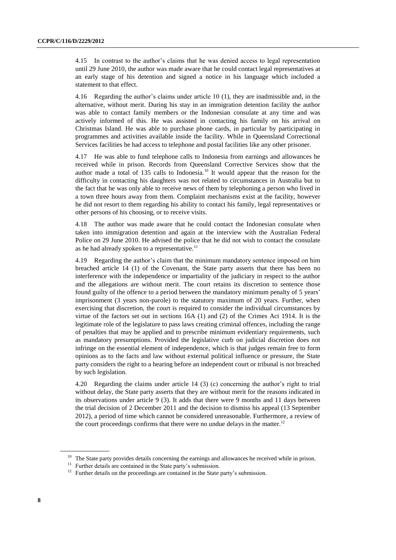4.15 In contrast to the author's claims that he was denied access to legal representation until 29 June 2010, the author was made aware that he could contact legal representatives at an early stage of his detention and signed a notice in his language which included a statement to that effect.

4.16 Regarding the author's claims under article 10 (1), they are inadmissible and, in the alternative, without merit. During his stay in an immigration detention facility the author was able to contact family members or the Indonesian consulate at any time and was actively informed of this. He was assisted in contacting his family on his arrival on Christmas Island. He was able to purchase phone cards, in particular by participating in programmes and activities available inside the facility. While in Queensland Correctional Services facilities he had access to telephone and postal facilities like any other prisoner.

4.17 He was able to fund telephone calls to Indonesia from earnings and allowances he received while in prison. Records from Queensland Corrective Services show that the author made a total of 135 calls to Indonesia.<sup>10</sup> It would appear that the reason for the difficulty in contacting his daughters was not related to circumstances in Australia but to the fact that he was only able to receive news of them by telephoning a person who lived in a town three hours away from them. Complaint mechanisms exist at the facility, however he did not resort to them regarding his ability to contact his family, legal representatives or other persons of his choosing, or to receive visits.

4.18 The author was made aware that he could contact the Indonesian consulate when taken into immigration detention and again at the interview with the Australian Federal Police on 29 June 2010. He advised the police that he did not wish to contact the consulate as he had already spoken to a representative. $^{11}$ 

4.19 Regarding the author's claim that the minimum mandatory sentence imposed on him breached article 14 (1) of the Covenant, the State party asserts that there has been no interference with the independence or impartiality of the judiciary in respect to the author and the allegations are without merit. The court retains its discretion to sentence those found guilty of the offence to a period between the mandatory minimum penalty of 5 years' imprisonment (3 years non-parole) to the statutory maximum of 20 years. Further, when exercising that discretion, the court is required to consider the individual circumstances by virtue of the factors set out in sections 16A (1) and (2) of the Crimes Act 1914. It is the legitimate role of the legislature to pass laws creating criminal offences, including the range of penalties that may be applied and to prescribe minimum evidentiary requirements, such as mandatory presumptions. Provided the legislative curb on judicial discretion does not infringe on the essential element of independence, which is that judges remain free to form opinions as to the facts and law without external political influence or pressure, the State party considers the right to a hearing before an independent court or tribunal is not breached by such legislation.

4.20 Regarding the claims under article 14 (3) (c) concerning the author's right to trial without delay, the State party asserts that they are without merit for the reasons indicated in its observations under article 9 (3). It adds that there were 9 months and 11 days between the trial decision of 2 December 2011 and the decision to dismiss his appeal (13 September 2012), a period of time which cannot be considered unreasonable. Furthermore, a review of the court proceedings confirms that there were no undue delays in the matter.<sup>12</sup>

<sup>&</sup>lt;sup>10</sup> The State party provides details concerning the earnings and allowances he received while in prison.

<sup>&</sup>lt;sup>11</sup> Further details are contained in the State party's submission.

<sup>&</sup>lt;sup>12</sup> Further details on the proceedings are contained in the State party's submission.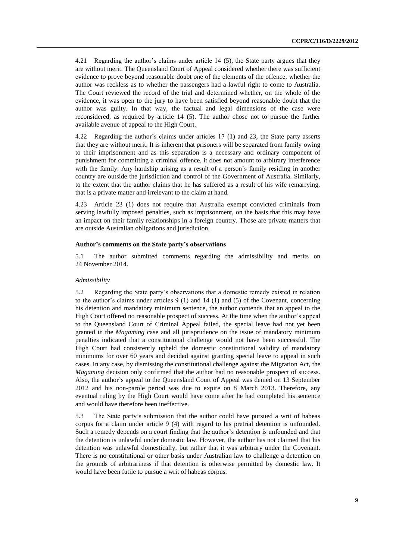4.21 Regarding the author's claims under article 14 (5), the State party argues that they are without merit. The Queensland Court of Appeal considered whether there was sufficient evidence to prove beyond reasonable doubt one of the elements of the offence, whether the author was reckless as to whether the passengers had a lawful right to come to Australia. The Court reviewed the record of the trial and determined whether, on the whole of the evidence, it was open to the jury to have been satisfied beyond reasonable doubt that the author was guilty. In that way, the factual and legal dimensions of the case were reconsidered, as required by article 14 (5). The author chose not to pursue the further available avenue of appeal to the High Court.

4.22 Regarding the author's claims under articles 17 (1) and 23, the State party asserts that they are without merit. It is inherent that prisoners will be separated from family owing to their imprisonment and as this separation is a necessary and ordinary component of punishment for committing a criminal offence, it does not amount to arbitrary interference with the family. Any hardship arising as a result of a person's family residing in another country are outside the jurisdiction and control of the Government of Australia. Similarly, to the extent that the author claims that he has suffered as a result of his wife remarrying, that is a private matter and irrelevant to the claim at hand.

4.23 Article 23 (1) does not require that Australia exempt convicted criminals from serving lawfully imposed penalties, such as imprisonment, on the basis that this may have an impact on their family relationships in a foreign country. Those are private matters that are outside Australian obligations and jurisdiction.

#### **Author's comments on the State party's observations**

5.1 The author submitted comments regarding the admissibility and merits on 24 November 2014.

#### *Admissibility*

5.2 Regarding the State party's observations that a domestic remedy existed in relation to the author's claims under articles  $9(1)$  and  $14(1)$  and  $(5)$  of the Covenant, concerning his detention and mandatory minimum sentence, the author contends that an appeal to the High Court offered no reasonable prospect of success. At the time when the author's appeal to the Queensland Court of Criminal Appeal failed, the special leave had not yet been granted in the *Magaming* case and all jurisprudence on the issue of mandatory minimum penalties indicated that a constitutional challenge would not have been successful. The High Court had consistently upheld the domestic constitutional validity of mandatory minimums for over 60 years and decided against granting special leave to appeal in such cases. In any case, by dismissing the constitutional challenge against the Migration Act, the *Magaming* decision only confirmed that the author had no reasonable prospect of success. Also, the author's appeal to the Queensland Court of Appeal was denied on 13 September 2012 and his non-parole period was due to expire on 8 March 2013. Therefore, any eventual ruling by the High Court would have come after he had completed his sentence and would have therefore been ineffective.

5.3 The State party's submission that the author could have pursued a writ of habeas corpus for a claim under article 9 (4) with regard to his pretrial detention is unfounded. Such a remedy depends on a court finding that the author's detention is unfounded and that the detention is unlawful under domestic law. However, the author has not claimed that his detention was unlawful domestically, but rather that it was arbitrary under the Covenant. There is no constitutional or other basis under Australian law to challenge a detention on the grounds of arbitrariness if that detention is otherwise permitted by domestic law. It would have been futile to pursue a writ of habeas corpus.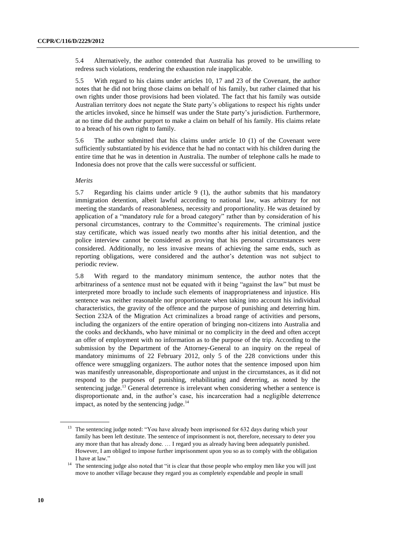5.4 Alternatively, the author contended that Australia has proved to be unwilling to redress such violations, rendering the exhaustion rule inapplicable.

5.5 With regard to his claims under articles 10, 17 and 23 of the Covenant, the author notes that he did not bring those claims on behalf of his family, but rather claimed that his own rights under those provisions had been violated. The fact that his family was outside Australian territory does not negate the State party's obligations to respect his rights under the articles invoked, since he himself was under the State party's jurisdiction. Furthermore, at no time did the author purport to make a claim on behalf of his family. His claims relate to a breach of his own right to family.

5.6 The author submitted that his claims under article 10 (1) of the Covenant were sufficiently substantiated by his evidence that he had no contact with his children during the entire time that he was in detention in Australia. The number of telephone calls he made to Indonesia does not prove that the calls were successful or sufficient.

#### *Merits*

5.7 Regarding his claims under article 9 (1), the author submits that his mandatory immigration detention, albeit lawful according to national law, was arbitrary for not meeting the standards of reasonableness, necessity and proportionality. He was detained by application of a "mandatory rule for a broad category" rather than by consideration of his personal circumstances, contrary to the Committee's requirements. The criminal justice stay certificate, which was issued nearly two months after his initial detention, and the police interview cannot be considered as proving that his personal circumstances were considered. Additionally, no less invasive means of achieving the same ends, such as reporting obligations, were considered and the author's detention was not subject to periodic review.

5.8 With regard to the mandatory minimum sentence, the author notes that the arbitrariness of a sentence must not be equated with it being "against the law" but must be interpreted more broadly to include such elements of inappropriateness and injustice. His sentence was neither reasonable nor proportionate when taking into account his individual characteristics, the gravity of the offence and the purpose of punishing and deterring him. Section 232A of the Migration Act criminalizes a broad range of activities and persons, including the organizers of the entire operation of bringing non-citizens into Australia and the cooks and deckhands, who have minimal or no complicity in the deed and often accept an offer of employment with no information as to the purpose of the trip. According to the submission by the Department of the Attorney-General to an inquiry on the repeal of mandatory minimums of 22 February 2012, only 5 of the 228 convictions under this offence were smuggling organizers. The author notes that the sentence imposed upon him was manifestly unreasonable, disproportionate and unjust in the circumstances, as it did not respond to the purposes of punishing, rehabilitating and deterring, as noted by the sentencing judge.<sup>13</sup> General deterrence is irrelevant when considering whether a sentence is disproportionate and, in the author's case, his incarceration had a negligible deterrence impact, as noted by the sentencing judge. $14$ 

<sup>&</sup>lt;sup>13</sup> The sentencing judge noted: "You have already been imprisoned for 632 days during which your family has been left destitute. The sentence of imprisonment is not, therefore, necessary to deter you any more than that has already done. … I regard you as already having been adequately punished. However, I am obliged to impose further imprisonment upon you so as to comply with the obligation I have at law."

<sup>&</sup>lt;sup>14</sup> The sentencing judge also noted that "it is clear that those people who employ men like you will just move to another village because they regard you as completely expendable and people in small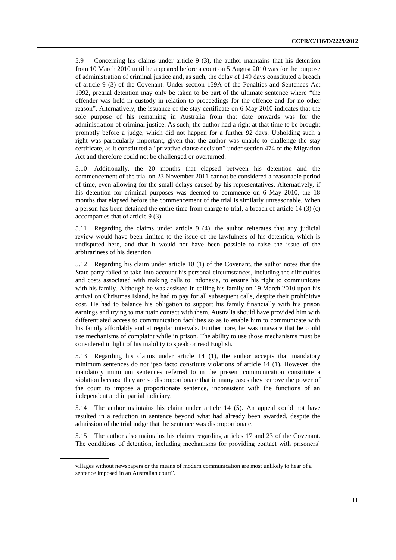5.9 Concerning his claims under article 9 (3), the author maintains that his detention from 10 March 2010 until he appeared before a court on 5 August 2010 was for the purpose of administration of criminal justice and, as such, the delay of 149 days constituted a breach of article 9 (3) of the Covenant. Under section 159A of the Penalties and Sentences Act 1992, pretrial detention may only be taken to be part of the ultimate sentence where "the offender was held in custody in relation to proceedings for the offence and for no other reason". Alternatively, the issuance of the stay certificate on 6 May 2010 indicates that the sole purpose of his remaining in Australia from that date onwards was for the administration of criminal justice. As such, the author had a right at that time to be brought promptly before a judge, which did not happen for a further 92 days. Upholding such a right was particularly important, given that the author was unable to challenge the stay certificate, as it constituted a "privative clause decision" under section 474 of the Migration Act and therefore could not be challenged or overturned.

5.10 Additionally, the 20 months that elapsed between his detention and the commencement of the trial on 23 November 2011 cannot be considered a reasonable period of time, even allowing for the small delays caused by his representatives. Alternatively, if his detention for criminal purposes was deemed to commence on 6 May 2010, the 18 months that elapsed before the commencement of the trial is similarly unreasonable. When a person has been detained the entire time from charge to trial, a breach of article 14 (3) (c) accompanies that of article 9 (3).

5.11 Regarding the claims under article 9 (4), the author reiterates that any judicial review would have been limited to the issue of the lawfulness of his detention, which is undisputed here, and that it would not have been possible to raise the issue of the arbitrariness of his detention.

5.12 Regarding his claim under article 10 (1) of the Covenant, the author notes that the State party failed to take into account his personal circumstances, including the difficulties and costs associated with making calls to Indonesia, to ensure his right to communicate with his family. Although he was assisted in calling his family on 19 March 2010 upon his arrival on Christmas Island, he had to pay for all subsequent calls, despite their prohibitive cost. He had to balance his obligation to support his family financially with his prison earnings and trying to maintain contact with them. Australia should have provided him with differentiated access to communication facilities so as to enable him to communicate with his family affordably and at regular intervals. Furthermore, he was unaware that he could use mechanisms of complaint while in prison. The ability to use those mechanisms must be considered in light of his inability to speak or read English.

5.13 Regarding his claims under article 14 (1), the author accepts that mandatory minimum sentences do not ipso facto constitute violations of article 14 (1). However, the mandatory minimum sentences referred to in the present communication constitute a violation because they are so disproportionate that in many cases they remove the power of the court to impose a proportionate sentence, inconsistent with the functions of an independent and impartial judiciary.

5.14 The author maintains his claim under article 14 (5). An appeal could not have resulted in a reduction in sentence beyond what had already been awarded, despite the admission of the trial judge that the sentence was disproportionate.

5.15 The author also maintains his claims regarding articles 17 and 23 of the Covenant. The conditions of detention, including mechanisms for providing contact with prisoners'

villages without newspapers or the means of modern communication are most unlikely to hear of a sentence imposed in an Australian court".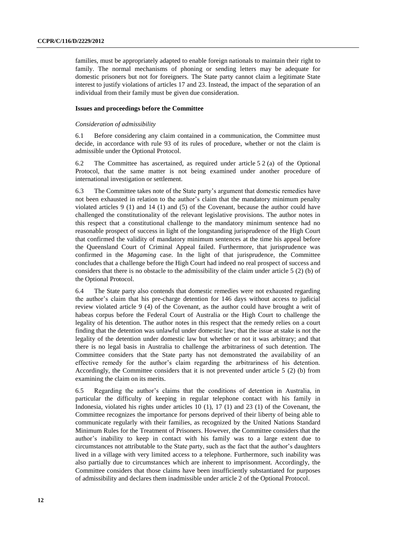families, must be appropriately adapted to enable foreign nationals to maintain their right to family. The normal mechanisms of phoning or sending letters may be adequate for domestic prisoners but not for foreigners. The State party cannot claim a legitimate State interest to justify violations of articles 17 and 23. Instead, the impact of the separation of an individual from their family must be given due consideration.

#### **Issues and proceedings before the Committee**

#### *Consideration of admissibility*

6.1 Before considering any claim contained in a communication, the Committee must decide, in accordance with rule 93 of its rules of procedure, whether or not the claim is admissible under the Optional Protocol.

6.2 The Committee has ascertained, as required under article 5 2 (a) of the Optional Protocol, that the same matter is not being examined under another procedure of international investigation or settlement.

6.3 The Committee takes note of the State party's argument that domestic remedies have not been exhausted in relation to the author's claim that the mandatory minimum penalty violated articles 9 (1) and 14 (1) and (5) of the Covenant, because the author could have challenged the constitutionality of the relevant legislative provisions. The author notes in this respect that a constitutional challenge to the mandatory minimum sentence had no reasonable prospect of success in light of the longstanding jurisprudence of the High Court that confirmed the validity of mandatory minimum sentences at the time his appeal before the Queensland Court of Criminal Appeal failed. Furthermore, that jurisprudence was confirmed in the *Magaming* case. In the light of that jurisprudence, the Committee concludes that a challenge before the High Court had indeed no real prospect of success and considers that there is no obstacle to the admissibility of the claim under article 5 (2) (b) of the Optional Protocol.

6.4 The State party also contends that domestic remedies were not exhausted regarding the author's claim that his pre-charge detention for 146 days without access to judicial review violated article 9 (4) of the Covenant, as the author could have brought a writ of habeas corpus before the Federal Court of Australia or the High Court to challenge the legality of his detention. The author notes in this respect that the remedy relies on a court finding that the detention was unlawful under domestic law; that the issue at stake is not the legality of the detention under domestic law but whether or not it was arbitrary; and that there is no legal basis in Australia to challenge the arbitrariness of such detention. The Committee considers that the State party has not demonstrated the availability of an effective remedy for the author's claim regarding the arbitrariness of his detention. Accordingly, the Committee considers that it is not prevented under article 5 (2) (b) from examining the claim on its merits.

6.5 Regarding the author's claims that the conditions of detention in Australia, in particular the difficulty of keeping in regular telephone contact with his family in Indonesia, violated his rights under articles 10 (1), 17 (1) and 23 (1) of the Covenant, the Committee recognizes the importance for persons deprived of their liberty of being able to communicate regularly with their families, as recognized by the United Nations Standard Minimum Rules for the Treatment of Prisoners. However, the Committee considers that the author's inability to keep in contact with his family was to a large extent due to circumstances not attributable to the State party, such as the fact that the author's daughters lived in a village with very limited access to a telephone. Furthermore, such inability was also partially due to circumstances which are inherent to imprisonment. Accordingly, the Committee considers that those claims have been insufficiently substantiated for purposes of admissibility and declares them inadmissible under article 2 of the Optional Protocol.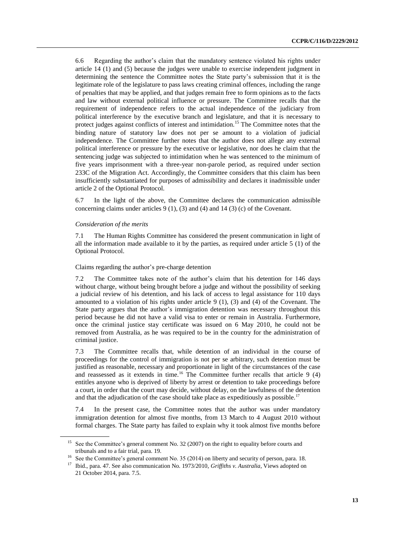6.6 Regarding the author's claim that the mandatory sentence violated his rights under article 14 (1) and (5) because the judges were unable to exercise independent judgment in determining the sentence the Committee notes the State party's submission that it is the legitimate role of the legislature to pass laws creating criminal offences, including the range of penalties that may be applied, and that judges remain free to form opinions as to the facts and law without external political influence or pressure. The Committee recalls that the requirement of independence refers to the actual independence of the judiciary from political interference by the executive branch and legislature, and that it is necessary to protect judges against conflicts of interest and intimidation.<sup>15</sup> The Committee notes that the binding nature of statutory law does not per se amount to a violation of judicial independence. The Committee further notes that the author does not allege any external political interference or pressure by the executive or legislative, nor does he claim that the sentencing judge was subjected to intimidation when he was sentenced to the minimum of five years imprisonment with a three-year non-parole period, as required under section 233C of the Migration Act. Accordingly, the Committee considers that this claim has been insufficiently substantiated for purposes of admissibility and declares it inadmissible under article 2 of the Optional Protocol.

6.7 In the light of the above, the Committee declares the communication admissible concerning claims under articles 9 (1), (3) and (4) and 14 (3) (c) of the Covenant.

#### *Consideration of the merits*

7.1 The Human Rights Committee has considered the present communication in light of all the information made available to it by the parties, as required under article 5 (1) of the Optional Protocol.

Claims regarding the author's pre-charge detention

7.2 The Committee takes note of the author's claim that his detention for 146 days without charge, without being brought before a judge and without the possibility of seeking a judicial review of his detention, and his lack of access to legal assistance for 110 days amounted to a violation of his rights under article  $9(1)$ ,  $(3)$  and  $(4)$  of the Covenant. The State party argues that the author's immigration detention was necessary throughout this period because he did not have a valid visa to enter or remain in Australia. Furthermore, once the criminal justice stay certificate was issued on 6 May 2010, he could not be removed from Australia, as he was required to be in the country for the administration of criminal justice.

7.3 The Committee recalls that, while detention of an individual in the course of proceedings for the control of immigration is not per se arbitrary, such detention must be justified as reasonable, necessary and proportionate in light of the circumstances of the case and reassessed as it extends in time.<sup>16</sup> The Committee further recalls that article 9  $(4)$ entitles anyone who is deprived of liberty by arrest or detention to take proceedings before a court, in order that the court may decide, without delay, on the lawfulness of the detention and that the adjudication of the case should take place as expeditiously as possible.<sup>17</sup>

7.4 In the present case, the Committee notes that the author was under mandatory immigration detention for almost five months, from 13 March to 4 August 2010 without formal charges. The State party has failed to explain why it took almost five months before

<sup>&</sup>lt;sup>15</sup> See the Committee's general comment No. 32 (2007) on the right to equality before courts and tribunals and to a fair trial, para. 19.

<sup>&</sup>lt;sup>16</sup> See the Committee's general comment No. 35 (2014) on liberty and security of person, para. 18.

<sup>17</sup> Ibid., para. 47. See also communication No. 1973/2010, *Griffiths v. Australia*, Views adopted on 21 October 2014, para. 7.5.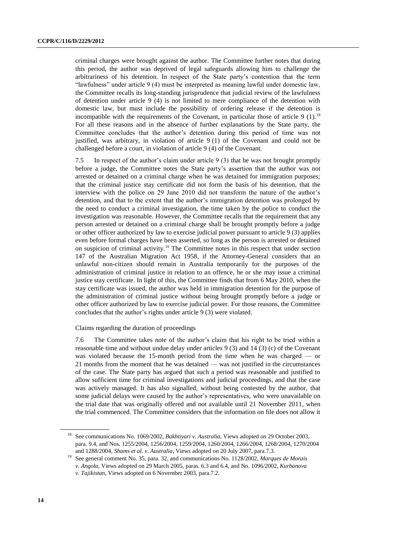criminal charges were brought against the author. The Committee further notes that during this period, the author was deprived of legal safeguards allowing him to challenge the arbitrariness of his detention. In respect of the State party's contention that the term "lawfulness" under article 9 (4) must be interpreted as meaning lawful under domestic law, the Committee recalls its long-standing jurisprudence that judicial review of the lawfulness of detention under article 9 (4) is not limited to mere compliance of the detention with domestic law, but must include the possibility of ordering release if the detention is incompatible with the requirements of the Covenant, in particular those of article 9  $(1)$ .<sup>18</sup> For all these reasons and in the absence of further explanations by the State party, the Committee concludes that the author's detention during this period of time was not justified, was arbitrary, in violation of article 9 (1) of the Covenant and could not be challenged before a court, in violation of article 9 (4) of the Covenant.

7.5 In respect of the author's claim under article 9 (3) that he was not brought promptly before a judge, the Committee notes the State party's assertion that the author was not arrested or detained on a criminal charge when he was detained for immigration purposes; that the criminal justice stay certificate did not form the basis of his detention, that the interview with the police on 29 June 2010 did not transform the nature of the author's detention, and that to the extent that the author's immigration detention was prolonged by the need to conduct a criminal investigation, the time taken by the police to conduct the investigation was reasonable. However, the Committee recalls that the requirement that any person arrested or detained on a criminal charge shall be brought promptly before a judge or other officer authorized by law to exercise judicial power pursuant to article 9 (3) applies even before formal charges have been asserted, so long as the person is arrested or detained on suspicion of criminal activity.<sup>19</sup> The Committee notes in this respect that under section 147 of the Australian Migration Act 1958, if the Attorney-General considers that an unlawful non-citizen should remain in Australia temporarily for the purposes of the administration of criminal justice in relation to an offence, he or she may issue a criminal justice stay certificate. In light of this, the Committee finds that from 6 May 2010, when the stay certificate was issued, the author was held in immigration detention for the purpose of the administration of criminal justice without being brought promptly before a judge or other officer authorized by law to exercise judicial power. For those reasons, the Committee concludes that the author's rights under article 9 (3) were violated.

Claims regarding the duration of proceedings

7.6 The Committee takes note of the author's claim that his right to be tried within a reasonable time and without undue delay under articles 9 (3) and 14 (3) (c) of the Covenant was violated because the 15-month period from the time when he was charged — or 21 months from the moment that he was detained — was not justified in the circumstances of the case. The State party has argued that such a period was reasonable and justified to allow sufficient time for criminal investigations and judicial proceedings, and that the case was actively managed. It has also signalled, without being contested by the author, that some judicial delays were caused by the author's representatives, who were unavailable on the trial date that was originally offered and not available until 21 November 2011, when the trial commenced. The Committee considers that the information on file does not allow it

<sup>18</sup> See communications No. 1069/2002, *Bakhtiyari v. Australia*, Views adopted on 29 October 2003, para. 9.4, and Nos. 1255/2004, 1256/2004, 1259/2004, 1260/2004, 1266/2004, 1268/2004, 1270/2004 and 1288/2004, *Shams et al. v. Australia*, Views adopted on 20 July 2007, para.7.3.

<sup>19</sup> See general comment No. 35, para. 32, and communications No. 1128/2002, *Marques de Morais v. Angola*, Views adopted on 29 March 2005, paras. 6.3 and 6.4, and No. 1096/2002, *Kurbanova v. Tajikistan*, Views adopted on 6 November 2003, para.7.2.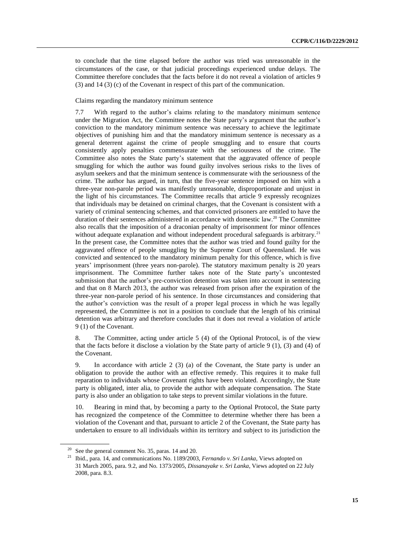to conclude that the time elapsed before the author was tried was unreasonable in the circumstances of the case, or that judicial proceedings experienced undue delays. The Committee therefore concludes that the facts before it do not reveal a violation of articles 9 (3) and 14 (3) (c) of the Covenant in respect of this part of the communication.

Claims regarding the mandatory minimum sentence

7.7 With regard to the author's claims relating to the mandatory minimum sentence under the Migration Act, the Committee notes the State party's argument that the author's conviction to the mandatory minimum sentence was necessary to achieve the legitimate objectives of punishing him and that the mandatory minimum sentence is necessary as a general deterrent against the crime of people smuggling and to ensure that courts consistently apply penalties commensurate with the seriousness of the crime. The Committee also notes the State party's statement that the aggravated offence of people smuggling for which the author was found guilty involves serious risks to the lives of asylum seekers and that the minimum sentence is commensurate with the seriousness of the crime. The author has argued, in turn, that the five-year sentence imposed on him with a three-year non-parole period was manifestly unreasonable, disproportionate and unjust in the light of his circumstances. The Committee recalls that article 9 expressly recognizes that individuals may be detained on criminal charges, that the Covenant is consistent with a variety of criminal sentencing schemes, and that convicted prisoners are entitled to have the duration of their sentences administered in accordance with domestic law. <sup>20</sup> The Committee also recalls that the imposition of a draconian penalty of imprisonment for minor offences without adequate explanation and without independent procedural safeguards is arbitrary.<sup>21</sup> In the present case, the Committee notes that the author was tried and found guilty for the aggravated offence of people smuggling by the Supreme Court of Queensland. He was convicted and sentenced to the mandatory minimum penalty for this offence, which is five years' imprisonment (three years non-parole). The statutory maximum penalty is 20 years imprisonment. The Committee further takes note of the State party's uncontested submission that the author's pre-conviction detention was taken into account in sentencing and that on 8 March 2013, the author was released from prison after the expiration of the three-year non-parole period of his sentence. In those circumstances and considering that the author's conviction was the result of a proper legal process in which he was legally represented, the Committee is not in a position to conclude that the length of his criminal detention was arbitrary and therefore concludes that it does not reveal a violation of article 9 (1) of the Covenant.

8. The Committee, acting under article 5 (4) of the Optional Protocol, is of the view that the facts before it disclose a violation by the State party of article 9 (1), (3) and (4) of the Covenant.

9. In accordance with article 2 (3) (a) of the Covenant, the State party is under an obligation to provide the author with an effective remedy. This requires it to make full reparation to individuals whose Covenant rights have been violated. Accordingly, the State party is obligated, inter alia, to provide the author with adequate compensation. The State party is also under an obligation to take steps to prevent similar violations in the future.

10. Bearing in mind that, by becoming a party to the Optional Protocol, the State party has recognized the competence of the Committee to determine whether there has been a violation of the Covenant and that, pursuant to article 2 of the Covenant, the State party has undertaken to ensure to all individuals within its territory and subject to its jurisdiction the

 $20$  See the general comment No. 35, paras. 14 and 20.

<sup>21</sup> Ibid., para. 14, and communications No. 1189/2003, *Fernando v. Sri Lanka*, Views adopted on 31 March 2005, para. 9.2, and No. 1373/2005, *Dissanayake v. Sri Lanka*, Views adopted on 22 July 2008, para. 8.3.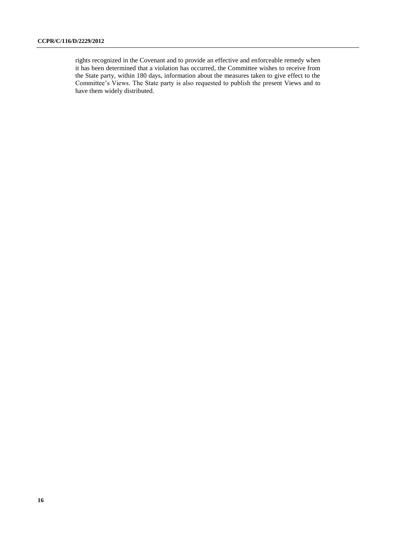rights recognized in the Covenant and to provide an effective and enforceable remedy when it has been determined that a violation has occurred, the Committee wishes to receive from the State party, within 180 days, information about the measures taken to give effect to the Committee's Views. The State party is also requested to publish the present Views and to have them widely distributed.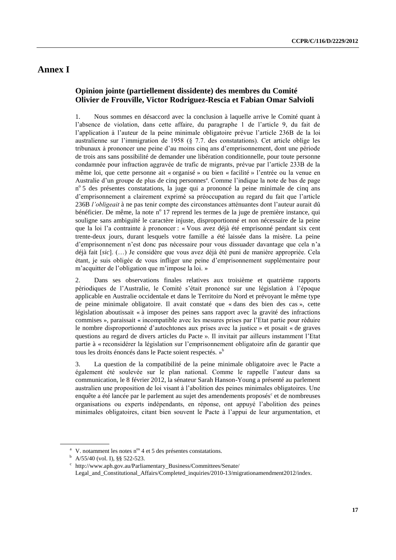### **Annex I**

### **Opinion jointe (partiellement dissidente) des membres du Comité Olivier de Frouville, Victor Rodriguez-Rescia et Fabian Omar Salvioli**

1. Nous sommes en désaccord avec la conclusion à laquelle arrive le Comité quant à l'absence de violation, dans cette affaire, du paragraphe 1 de l'article 9, du fait de l'application à l'auteur de la peine minimale obligatoire prévue l'article 236B de la loi australienne sur l'immigration de 1958 (§ 7.7. des constatations). Cet article oblige les tribunaux à prononcer une peine d'au moins cinq ans d'emprisonnement, dont une période de trois ans sans possibilité de demander une libération conditionnelle, pour toute personne condamnée pour infraction aggravée de trafic de migrants, prévue par l'article 233B de la même loi, que cette personne ait « organisé » ou bien « facilité » l'entrée ou la venue en Australie d'un groupe de plus de cinq personnes<sup>a</sup>. Comme l'indique la note de bas de page nº 5 des présentes constatations, la juge qui a prononcé la peine minimale de cinq ans d'emprisonnement a clairement exprimé sa préoccupation au regard du fait que l'article 236B *l'obligeait* à ne pas tenir compte des circonstances atténuantes dont l'auteur aurait dû bénéficier. De même, la note nº 17 reprend les termes de la juge de première instance, qui souligne sans ambiguïté le caractère injuste, disproportionné et non nécessaire de la peine que la loi l'a contrainte à prononcer : « Vous avez déjà été emprisonné pendant six cent trente-deux jours, durant lesquels votre famille a été laissée dans la misère. La peine d'emprisonnement n'est donc pas nécessaire pour vous dissuader davantage que cela n'a déjà fait [*sic*]. (…) Je considère que vous avez déjà été puni de manière appropriée. Cela étant, je suis obligée de vous infliger une peine d'emprisonnement supplémentaire pour m'acquitter de l'obligation que m'impose la loi. »

2. Dans ses observations finales relatives aux troisième et quatrième rapports périodiques de l'Australie, le Comité s'était prononcé sur une législation à l'époque applicable en Australie occidentale et dans le Territoire du Nord et prévoyant le même type de peine minimale obligatoire. Il avait constaté que « dans des bien des cas », cette législation aboutissait « à imposer des peines sans rapport avec la gravité des infractions commises », paraissait « incompatible avec les mesures prises par l'Etat partie pour réduire le nombre disproportionné d'autochtones aux prises avec la justice » et posait « de graves questions au regard de divers articles du Pacte ». Il invitait par ailleurs instamment l'Etat partie à « reconsidérer la législation sur l'emprisonnement obligatoire afin de garantir que tous les droits énoncés dans le Pacte soient respectés. »<sup>b</sup>

3. La question de la compatibilité de la peine minimale obligatoire avec le Pacte a également été soulevée sur le plan national. Comme le rappelle l'auteur dans sa communication, le 8 février 2012, la sénateur Sarah Hanson-Young a présenté au parlement australien une proposition de loi visant à l'abolition des peines minimales obligatoires. Une enquête a été lancée par le parlement au sujet des amendements proposés<sup>c</sup> et de nombreuses organisations ou experts indépendants, en réponse, ont appuyé l'abolition des peines minimales obligatoires, citant bien souvent le Pacte à l'appui de leur argumentation, et

<sup>&</sup>lt;sup>a</sup> V. notamment les notes n<sup>os</sup> 4 et 5 des présentes constatations.

<sup>b</sup> A/55/40 (vol. I), §§ 522-523.

c [http://www.aph.gov.au/Parliamentary\\_Business/Committees/Senate/](http://www.aph.gov.au/Parliamentary_Business/Committees/Senate/Legal_and_Constitutional_Affairs/Completed_inquiries/2010-13/migrationamendment2012/index)

[Legal\\_and\\_Constitutional\\_Affairs/Completed\\_inquiries/2010-13/migrationamendment2012/index.](http://www.aph.gov.au/Parliamentary_Business/Committees/Senate/Legal_and_Constitutional_Affairs/Completed_inquiries/2010-13/migrationamendment2012/index)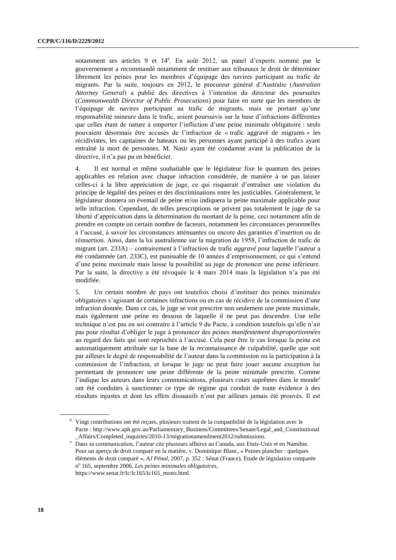notamment ses articles 9 et 14<sup>d</sup>. En août 2012, un panel d'experts nommé par le gouvernement a recommandé notamment de restituer aux tribunaux le droit de déterminer librement les peines pour les membres d'équipage des navires participant au trafic de migrants. Par la suite, toujours en 2012, le procureur général d'Australie (*Australian Attorney General*) a publié des directives à l'intention du directeur des poursuites (*Commonwealth Director of Public Prosecutions*) pour faire en sorte que les membres de l'équipage de navires participant au trafic de migrants, mais ne portant qu'une responsabilité mineure dans le trafic, soient poursuivis sur la base d'infractions différentes que celles étant de nature à emporter l'infliction d'une peine minimale obligatoire : seuls pouvaient désormais être accusés de l'infraction de « trafic aggravé de migrants » les récidivistes, les capitaines de bateaux ou les personnes ayant participé à des trafics ayant entraîné la mort de personnes. M. Nasir ayant été condamné avant la publication de la directive, il n'a pas pu en bénéficier.

4. Il est normal et même souhaitable que le législateur fixe le quantum des peines applicables en relation avec chaque infraction considérée, de manière à ne pas laisser celles-ci à la libre appréciation de juge, ce qui risquerait d'entraîner une violation du principe de légalité des peines et des discriminations entre les justiciables. Généralement, le législateur donnera un éventail de peine et/ou indiquera la peine maximale applicable pour telle infraction. Cependant, de telles prescriptions ne privent pas totalement le juge de sa liberté d'appréciation dans la détermination du montant de la peine, ceci notamment afin de prendre en compte un certain nombre de facteurs, notamment les circonstances personnelles à l'accusé, à savoir les circonstances atténuantes ou encore des garanties d'insertion ou de réinsertion. Ainsi, dans la loi australienne sur la migration de 1958, l'infraction de trafic de migrant (art. 233A) – contrairement à l'infraction de trafic *aggravé* pour laquelle l'auteur a été condamnée (art. 233C), est punissable de 10 années d'emprisonnement, ce qui s'entend d'une peine maximale mais laisse la possibilité au juge de prononcer une peine inférieure. Par la suite, la directive a été révoquée le 4 mars 2014 mais la législation n'a pas été modifiée.

5. Un certain nombre de pays ont toutefois choisi d'instituer des peines minimales obligatoires s'agissant de certaines infractions ou en cas de récidive de la commission d'une infraction donnée. Dans ce cas, le juge se voit prescrire non seulement une peine maximale, mais également une peine en dessous de laquelle il ne peut pas descendre. Une telle technique n'est pas en soi contraire à l'article 9 du Pacte, à condition toutefois qu'elle n'ait pas pour résultat d'obliger le juge à prononcer des peines *manifestement disproportionnées* au regard des faits qui sont reprochés à l'accusé. Cela peut être le cas lorsque la peine est automatiquement attribuée sur la base de la reconnaissance de culpabilité, quelle que soit par ailleurs le degré de responsabilité de l'auteur dans la commission ou la participation à la commission de l'infraction, et lorsque le juge ne peut faire jouer aucune exception lui permettant de prononcer une peine différente de la peine minimale prescrite. Comme l'indique les auteurs dans leurs communications, plusieurs cours suprêmes dans le monde<sup>e</sup> ont été conduites à sanctionner ce type de régime qui conduit de toute évidence à des résultats injustes et dont les effets dissuasifs n'ont par ailleurs jamais été prouvés. Il est

<sup>d</sup> Vingt contributions ont été reçues, plusieurs traitent de la compatibilité de la législation avec le Pacte : [http://www.aph.gov.au/Parliamentary\\_Business/Committees/Senate/Legal\\_and\\_Constitutional](http://www.aph.gov.au/Parliamentary_Business/Committees/Senate/Legal_and_Constitutional_Affairs/Completed_inquiries/2010-13/migrationamendment2012/submissions) [\\_Affairs/Completed\\_inquiries/2010-13/migrationamendment2012/submissions.](http://www.aph.gov.au/Parliamentary_Business/Committees/Senate/Legal_and_Constitutional_Affairs/Completed_inquiries/2010-13/migrationamendment2012/submissions)

<sup>e</sup> Dans sa communication, l'auteur cite plusieurs affaires au Canada, aux Etats-Unis et en Namibie. Pour un aperçu de droit comparé en la matière, v. Dominique Blanc, « Peines plancher : quelques éléments de droit comparé », *AJ Pénal*, 2007, p. 352 ; Sénat (France), Etude de législation comparée n o 165, septembre 2006, *Les peines minimales obligatoires*, [https://www.senat.fr/lc/lc165/lc165\\_mono.html.](https://www.senat.fr/lc/lc165/lc165_mono.html)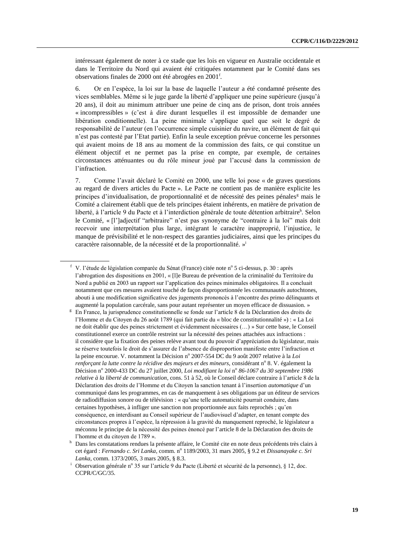intéressant également de noter à ce stade que les lois en vigueur en Australie occidentale et dans le Territoire du Nord qui avaient été critiquées notamment par le Comité dans ses observations finales de 2000 ont été abrogées en 2001<sup>f</sup> .

6. Or en l'espèce, la loi sur la base de laquelle l'auteur a été condamné présente des vices semblables. Même si le juge garde la liberté d'appliquer une peine supérieure (jusqu'à 20 ans), il doit au minimum attribuer une peine de cinq ans de prison, dont trois années « incompressibles » (c'est à dire durant lesquelles il est impossible de demander une libération conditionnelle). La peine minimale s'applique quel que soit le degré de responsabilité de l'auteur (en l'occurrence simple cuisinier du navire, un élément de fait qui n'est pas contesté par l'Etat partie). Enfin la seule exception prévue concerne les personnes qui avaient moins de 18 ans au moment de la commission des faits, ce qui constitue un élément objectif et ne permet pas la prise en compte, par exemple, de certaines circonstances atténuantes ou du rôle mineur joué par l'accusé dans la commission de l'infraction.

7. Comme l'avait déclaré le Comité en 2000, une telle loi pose « de graves questions au regard de divers articles du Pacte ». Le Pacte ne contient pas de manière explicite les principes d'invidualisation, de proportionnalité et de nécessité des peines pénales<sup>g</sup> mais le Comité a clairement établi que de tels principes étaient inhérents, en matière de privation de liberté, à l'article 9 du Pacte et à l'interdiction générale de toute détention arbitraire<sup>h</sup>. Selon le Comité, « [l']adjectif "arbitraire" n'est pas synonyme de "contraire à la loi" mais doit recevoir une interprétation plus large, intégrant le caractère inapproprié, l'injustice, le manque de prévisibilité et le non-respect des garanties judiciaires, ainsi que les principes du caractère raisonnable, de la nécessité et de la proportionnalité. »<sup>i</sup>

<sup>&</sup>lt;sup>f</sup> V. l'étude de législation comparée du Sénat (France) citée note n° 5 ci-dessus, p. 30 : après l'abrogation des dispositions en 2001, « [l]e Bureau de prévention de la criminalité du Territoire du Nord a publié en 2003 un rapport sur l'application des peines minimales obligatoires. Il a concluait notamment que ces mesures avaient touché de façon disproportionnée les communautés autochtones, abouti à une modification significative des jugements prononcés à l'encontre des primo délinquants et augmenté la population carcérale, sans pour autant représenter un moyen efficace de dissuasion. »

<sup>&</sup>lt;sup>g</sup> En France, la jurisprudence constitutionnelle se fonde sur l'article 8 de la Déclaration des droits de l'Homme et du Citoyen du 26 août 1789 (qui fait partie du « bloc de constitutionnalité ») : « La Loi ne doit établir que des peines strictement et évidemment nécessaires (…) » Sur cette base, le Conseil constitutionnel exerce un contrôle restreint sur la nécessité des peines attachées aux infractions : il considère que la fixation des peines relève avant tout du pouvoir d'appréciation du législateur, mais se réserve toutefois le droit de s'assurer de l'absence de disproportion manifeste entre l'infraction et la peine encourue. V. notamment la Décision nº 2007-554 DC du 9 août 2007 relative à la Loi renforçant la lutte contre la récidive des majeurs et des mineurs, considérant n° 8. V. également la Décision nº 2000-433 DC du 27 juillet 2000, *Loi modifiant la loi* nº 86-1067 du 30 septembre 1986 *relative à la liberté de communication*, cons. 51 à 52, où le Conseil déclare contraire à l'article 8 de la Déclaration des droits de l'Homme et du Citoyen la sanction tenant à l'insertion *automatique* d'un communiqué dans les programmes, en cas de manquement à ses obligations par un éditeur de services de radiodiffusion sonore ou de télévision : « qu'une telle automaticité pourrait conduire, dans certaines hypothèses, à infliger une sanction non proportionnée aux faits reprochés ; qu'en conséquence, en interdisant au Conseil supérieur de l'audiovisuel d'adapter, en tenant compte des circonstances propres à l'espèce, la répression à la gravité du manquement reproché, le législateur a méconnu le principe de la nécessité des peines énoncé par l'article 8 de la Déclaration des droits de l'homme et du citoyen de 1789 ».

h Dans les constatations rendues la présente affaire, le Comité cite en note deux précédents très clairs à cet égard : *Fernando c. Sri Lanka*, comm. nº 1189/2003, 31 mars 2005, § 9.2 et *Dissanayake c. Sri Lanka*, comm. 1373/2005, 3 mars 2005, § 8.3.

<sup>&</sup>lt;sup>i</sup> Observation générale n<sup>o</sup> 35 sur l'article 9 du Pacte (Liberté et sécurité de la personne), § 12, doc. CCPR/C/GC/35.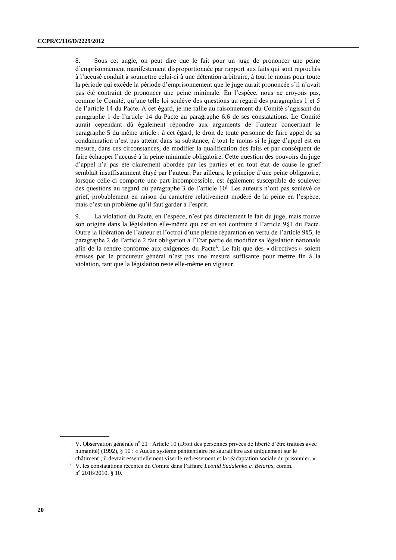8. Sous cet angle, on peut dire que le fait pour un juge de prononcer une peine d'emprisonnement manifestement disproportionnée par rapport aux faits qui sont reprochés à l'accusé conduit à soumettre celui-ci à une détention arbitraire, à tout le moins pour toute la période qui excède la période d'emprisonnement que le juge aurait prononcée s'il n'avait pas été contraint de prononcer une peine minimale. En l'espèce, nous ne croyons pas, comme le Comité, qu'une telle loi soulève des questions au regard des paragraphes 1 et 5 de l'article 14 du Pacte. A cet égard, je me rallie au raisonnement du Comité s'agissant du paragraphe 1 de l'article 14 du Pacte au paragraphe 6.6 de ses constatations. Le Comité aurait cependant dû également répondre aux arguments de l'auteur concernant le paragraphe 5 du même article : à cet égard, le droit de toute personne de faire appel de sa condamnation n'est pas atteint dans sa substance, à tout le moins si le juge d'appel est en mesure, dans ces circonstances, de modifier la qualification des faits et par conséquent de faire échapper l'accusé à la peine minimale obligatoire. Cette question des pouvoirs du juge d'appel n'a pas été clairement abordée par les parties et en tout état de cause le grief semblait insuffisamment étayé par l'auteur. Par ailleurs, le principe d'une peine obligatoire, lorsque celle-ci comporte une part incompressible, est également susceptible de soulever des questions au regard du paragraphe 3 de l'article  $10<sup>j</sup>$ . Les auteurs n'ont pas soulevé ce grief, probablement en raison du caractère relativement modéré de la peine en l'espèce, mais c'est un problème qu'il faut garder à l'esprit.

9. La violation du Pacte, en l'espèce, n'est pas directement le fait du juge, mais trouve son origine dans la législation elle-même qui est en soi contraire à l'article 9§1 du Pacte. Outre la libération de l'auteur et l'octroi d'une pleine réparation en vertu de l'article 9§5, le paragraphe 2 de l'article 2 fait obligation à l'Etat partie de modifier sa législation nationale afin de la rendre conforme aux exigences du Pacte<sup>k</sup>. Le fait que des « directives » soient émises par le procureur général n'est pas une mesure suffisante pour mettre fin à la violation, tant que la législation reste elle-même en vigueur.

<sup>&</sup>lt;sup>j</sup> V. Observation générale nº 21 : Article 10 (Droit des personnes privées de liberté d'être traitées avec humanité) (1992), § 10 : « Aucun système pénitentiaire ne saurait être axé uniquement sur le châtiment ; il devrait essentiellement viser le redressement et la réadaptation sociale du prisonnier. »

<sup>k</sup> V. les constatations récentes du Comité dans l'affaire *Leonid Sudalenko c. Belarus*, comm. n<sup>o</sup> 2016/2010, § 10.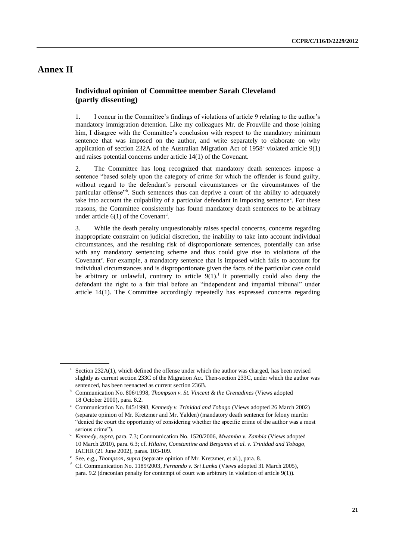## **Annex II**

### **Individual opinion of Committee member Sarah Cleveland (partly dissenting)**

1. I concur in the Committee's findings of violations of article 9 relating to the author's mandatory immigration detention. Like my colleagues Mr. de Frouville and those joining him, I disagree with the Committee's conclusion with respect to the mandatory minimum sentence that was imposed on the author, and write separately to elaborate on why application of section 232A of the Australian Migration Act of  $1958<sup>a</sup>$  violated article  $9(1)$ and raises potential concerns under article 14(1) of the Covenant.

2. The Committee has long recognized that mandatory death sentences impose a sentence "based solely upon the category of crime for which the offender is found guilty, without regard to the defendant's personal circumstances or the circumstances of the particular offense<sup>7b</sup>. Such sentences thus can deprive a court of the ability to adequately take into account the culpability of a particular defendant in imposing sentence<sup>c</sup>. For these reasons, the Committee consistently has found mandatory death sentences to be arbitrary under article  $6(1)$  of the Covenant<sup>d</sup>.

3. While the death penalty unquestionably raises special concerns, concerns regarding inappropriate constraint on judicial discretion, the inability to take into account individual circumstances, and the resulting risk of disproportionate sentences, potentially can arise with any mandatory sentencing scheme and thus could give rise to violations of the Covenant<sup>e</sup>. For example, a mandatory sentence that is imposed which fails to account for individual circumstances and is disproportionate given the facts of the particular case could be arbitrary or unlawful, contrary to article  $9(1)$ . It potentially could also deny the defendant the right to a fair trial before an "independent and impartial tribunal" under article 14(1). The Committee accordingly repeatedly has expressed concerns regarding

<sup>&</sup>lt;sup>a</sup> Section 232A(1), which defined the offense under which the author was charged, has been revised slightly as current section 233C of the Migration Act. Then-section 233C, under which the author was sentenced, has been reenacted as current section 236B.

<sup>b</sup> Communication No. 806/1998, *Thompson v. St. Vincent & the Grenadines* (Views adopted 18 October 2000), para. 8.2.

<sup>c</sup> Communication No. 845/1998, *Kennedy v. Trinidad and Tobago* (Views adopted 26 March 2002) (separate opinion of Mr. Kretzmer and Mr. Yalden) (mandatory death sentence for felony murder "denied the court the opportunity of considering whether the specific crime of the author was a most serious crime").

<sup>d</sup> *Kennedy, supra,* para. 7.3; Communication No. 1520/2006, *Mwamba v. Zambia* (Views adopted 10 March 2010), para. 6.3; cf. *Hilaire, Constantine and Benjamin et al. v. Trinidad and Tobago,* IACHR (21 June 2002), paras. 103-109.

e See, e.g,, *Thompson*, *supra* (separate opinion of Mr. Kretzmer, et al.), para. 8.

<sup>f</sup> Cf. Communication No. 1189/2003, *Fernando v. Sri Lanka* (Views adopted 31 March 2005), para. 9.2 (draconian penalty for contempt of court was arbitrary in violation of article 9(1)).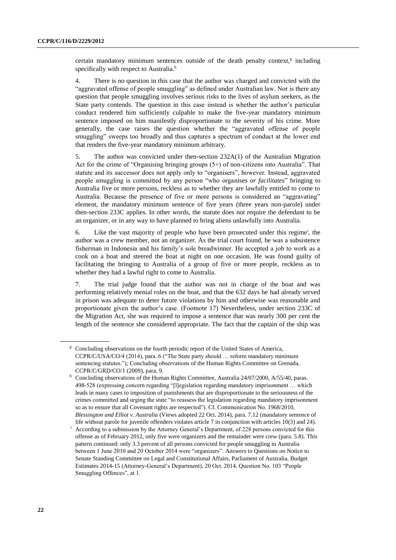certain mandatory minimum sentences outside of the death penalty context, $g$  including specifically with respect to Australia.<sup>h</sup>

4. There is no question in this case that the author was charged and convicted with the "aggravated offense of people smuggling" as defined under Australian law. Nor is there any question that people smuggling involves serious risks to the lives of asylum seekers, as the State party contends. The question in this case instead is whether the author's particular conduct rendered him sufficiently culpable to make the five-year mandatory minimum sentence imposed on him manifestly disproportionate to the severity of his crime. More generally, the case raises the question whether the "aggravated offense of people smuggling" sweeps too broadly and thus captures a spectrum of conduct at the lower end that renders the five-year mandatory minimum arbitrary.

5. The author was convicted under then-section 232A(1) of the Australian Migration Act for the crime of "Organising bringing groups (5+) of non-citizens into Australia". That statute and its successor does not apply only to "organisers", however. Instead, aggravated people smuggling is committed by any person "who organises *or facilitates*" bringing to Australia five or more persons, reckless as to whether they are lawfully entitled to come to Australia. Because the presence of five or more persons is considered an "aggravating" element, the mandatory minimum sentence of five years (three years non-parole) under then-section 233C applies. In other words, the statute does not require the defendant to be an organizer, or in any way to have planned to bring aliens unlawfully into Australia.

6. Like the vast majority of people who have been prosecuted under this regime<sup>i</sup>, the author was a crew member, not an organizer. As the trial court found, he was a subsistence fisherman in Indonesia and his family's sole breadwinner. He accepted a job to work as a cook on a boat and steered the boat at night on one occasion. He was found guilty of facilitating the bringing to Australia of a group of five or more people, reckless as to whether they had a lawful right to come to Australia.

7. The trial judge found that the author was not in charge of the boat and was performing relatively menial roles on the boat, and that the 632 days he had already served in prison was adequate to deter future violations by him and otherwise was reasonable and proportionate given the author's case. (Footnote 17) Nevertheless, under section 233C of the Migration Act, she was required to impose a sentence that was nearly 300 per cent the length of the sentence she considered appropriate. The fact that the captain of the ship was

 $\frac{g}{g}$  Concluding observations on the fourth periodic report of the United States of America, CCPR/C/USA/CO/4 (2014), para. 6 ("The State party should … reform mandatory minimum sentencing statutes."); Concluding observations of the Human Rights Committee on Grenada, CCPR/C/GRD/CO/1 (2009), para. 9.

h Concluding observations of the Human Rights Committee, Australia 24/07/2000, A/55/40, paras. 498-528 (expressing concern regarding "[l]egislation regarding mandatory imprisonment … which leads in many cases to imposition of punishments that are disproportionate to the seriousness of the crimes committed and urging the state "to reassess the legislation regarding mandatory imprisonment so as to ensure that all Covenant rights are respected"). Cf. Communication No. 1968/2010, *Blessington and Elliot v. Australia* (Views adopted 22 Oct. 2014), para. 7.12 (mandatory sentence of

life without parole for juvenile offenders violates article 7 in conjunction with articles 10(3) and 24). According to a submission by the Attorney General's Department, of 228 persons convicted for this offense as of February 2012, only five were organizers and the remainder were crew (para. 5.8). This pattern continued: only 3.3 percent of all persons convicted for people smuggling in Australia between 1 June 2010 and 20 October 2014 were "organizers". Answers to Questions on Notice to Senate Standing Committee on Legal and Constitutional Affairs, Parliament of Australia, Budget Estimates 2014-15 (Attorney-General's Department), 20 Oct. 2014, Question No. 103 "People Smuggling Offences", at 1.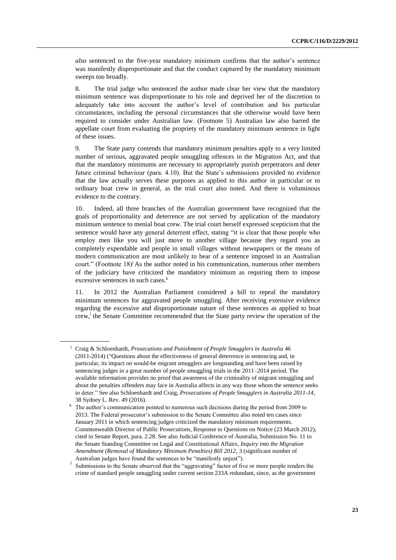*also* sentenced to the five-year mandatory minimum confirms that the author's sentence was manifestly disproportionate and that the conduct captured by the mandatory minimum sweeps too broadly.

8. The trial judge who sentenced the author made clear her view that the mandatory minimum sentence was disproportionate to his role and deprived her of the discretion to adequately take into account the author's level of contribution and his particular circumstances, including the personal circumstances that she otherwise would have been required to consider under Australian law. (Footnote 5) Australian law also barred the appellate court from evaluating the propriety of the mandatory minimum sentence in light of these issues.

9. The State party contends that mandatory minimum penalties apply to a very limited number of serious, aggravated people smuggling offences in the Migration Act, and that that the mandatory minimums are necessary to appropriately punish perpetrators and deter future criminal behaviour (para. 4.10). But the State's submissions provided no evidence that the law actually serves these purposes as applied to this author in particular or to ordinary boat crew in general, as the trial court also noted. And there is voluminous evidence to the contrary.

10. Indeed, all three branches of the Australian government have recognized that the goals of proportionality and deterrence are not served by application of the mandatory minimum sentence to menial boat crew. The trial court herself expressed scepticism that the sentence would have any general deterrent effect, stating "it is clear that those people who employ men like you will just move to another village because they regard you as completely expendable and people in small villages without newspapers or the means of modern communication are most unlikely to hear of a sentence imposed in an Australian court." (Footnote 18)<sup>j</sup> As the author noted in his communication, numerous other members of the judiciary have criticized the mandatory minimum as requiring them to impose excessive sentences in such cases.<sup>k</sup>

11. In 2012 the Australian Parliament considered a bill to repeal the mandatory minimum sentences for aggravated people smuggling. After receiving extensive evidence regarding the excessive and disproportionate nature of these sentences as applied to boat crew,<sup>1</sup> the Senate Committee recommended that the State party review the operation of the

<sup>j</sup> Craig & Schloenhardt, *Prosecutions and Punishment of People Smugglers in Australia* 46 (2011-2014) ("Questions about the effectiveness of general deterrence in sentencing and, in particular, its impact on would-be migrant smugglers are longstanding and have been raised by sentencing judges in a great number of people smuggling trials in the 2011–2014 period. The available information provides no proof that awareness of the criminality of migrant smuggling and about the penalties offenders may face in Australia affects in any way those whom the sentence seeks to deter." See also Schloenhardt and Craig, *Prosecutions of People Smugglers in Australia 2011-14*, 38 Sydney L. Rev. 49 (2016).

<sup>&</sup>lt;sup>k</sup> The author's communication pointed to numerous such decisions during the period from 2009 to 2013. The Federal prosecutor's submission to the Senate Committee also noted ten cases since January 2011 in which sentencing judges criticized the mandatory minimum requirements. Commonwealth Director of Public Prosecutions, Response to Questions on Notice (23 March 2012), cited in Senate Report, para. 2.28. See also Judicial Conference of Australia, Submission No. 11 to the Senate Standing Committee on Legal and Constitutional Affairs, *Inquiry into the Migration Amendment (Removal of Mandatory Minimum Penalties) Bill 2012*, 3 (significant number of Australian judges have found the sentences to be "manifestly unjust").

l Submissions to the Senate observed that the "aggravating" factor of five or more people renders the crime of standard people smuggling under current section 233A redundant, since, as the government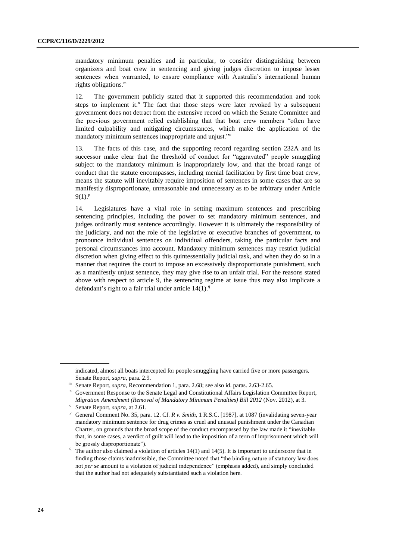mandatory minimum penalties and in particular, to consider distinguishing between organizers and boat crew in sentencing and giving judges discretion to impose lesser sentences when warranted, to ensure compliance with Australia's international human rights obligations.<sup>m</sup>

12. The government publicly stated that it supported this recommendation and took steps to implement it.<sup>n</sup> The fact that those steps were later revoked by a subsequent government does not detract from the extensive record on which the Senate Committee and the previous government relied establishing that that boat crew members "often have limited culpability and mitigating circumstances, which make the application of the mandatory minimum sentences inappropriate and unjust."<sup>o</sup>

13. The facts of this case, and the supporting record regarding section 232A and its successor make clear that the threshold of conduct for "aggravated" people smuggling subject to the mandatory minimum is inappropriately low, and that the broad range of conduct that the statute encompasses, including menial facilitation by first time boat crew, means the statute will inevitably require imposition of sentences in some cases that are so manifestly disproportionate, unreasonable and unnecessary as to be arbitrary under Article  $9(1).^{p}$ 

14. Legislatures have a vital role in setting maximum sentences and prescribing sentencing principles, including the power to set mandatory minimum sentences, and judges ordinarily must sentence accordingly. However it is ultimately the responsibility of the judiciary, and not the role of the legislative or executive branches of government, to pronounce individual sentences on individual offenders, taking the particular facts and personal circumstances into account. Mandatory minimum sentences may restrict judicial discretion when giving effect to this quintessentially judicial task, and when they do so in a manner that requires the court to impose an excessively disproportionate punishment, such as a manifestly unjust sentence, they may give rise to an unfair trial. For the reasons stated above with respect to article 9, the sentencing regime at issue thus may also implicate a defendant's right to a fair trial under article  $14(1)$ .<sup>q</sup>

indicated, almost all boats intercepted for people smuggling have carried five or more passengers. Senate Report, *supra*, para. 2.9.

m Senate Report, *supra*, Recommendation 1, para. 2.68; see also id. paras. 2.63-2.65.

<sup>n</sup> Government Response to the Senate Legal and Constitutional Affairs Legislation Committee Report, *Migration Amendment (Removal of Mandatory Minimum Penalties) Bill 2012* (Nov. 2012), at 3.

o Senate Report, *supra*, at 2.61.

<sup>p</sup> General Comment No. 35, para. 12. Cf. *R v. Smith*, 1 R.S.C. [1987], at 1087 (invalidating seven-year mandatory minimum sentence for drug crimes as cruel and unusual punishment under the Canadian Charter, on grounds that the broad scope of the conduct encompassed by the law made it "inevitable that, in some cases, a verdict of guilt will lead to the imposition of a term of imprisonment which will be grossly disproportionate").

<sup>&</sup>lt;sup>q</sup> The author also claimed a violation of articles 14(1) and 14(5). It is important to underscore that in finding those claims inadmissible, the Committee noted that "the binding nature of statutory law does not *per se* amount to a violation of judicial independence" (emphasis added), and simply concluded that the author had not adequately substantiated such a violation here.